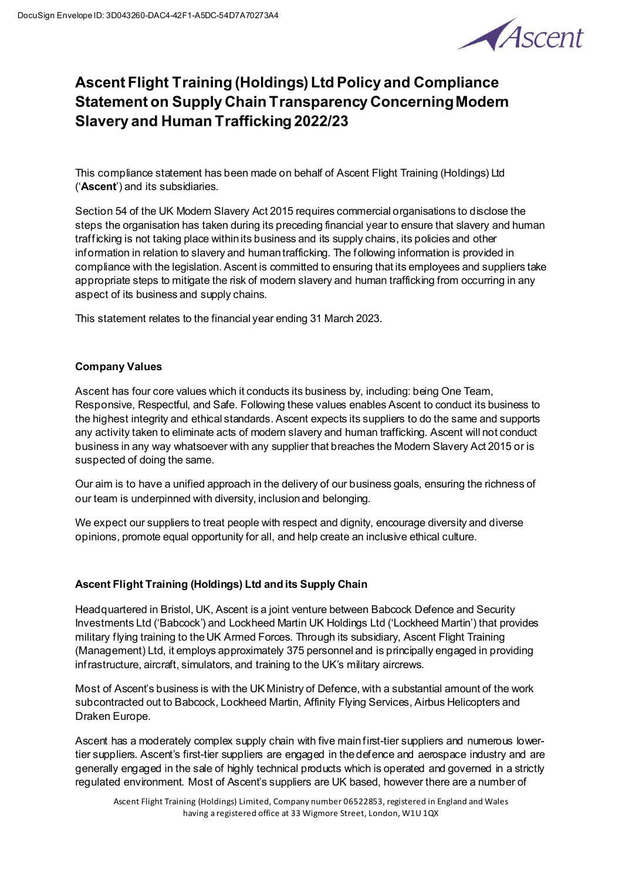

# **Ascent Flight Training (Holdings) Ltd Policy and Compliance Statement on Supply Chain Transparency Concerning Modern Slavery and Human Trafficking 2022/23**

This compliance statement has been made on behalf of Ascent Flight Training (Holdings) Ltd ('**Ascent**') and its subsidiaries.

Section 54 of the UK Modern Slavery Act 2015 requires commercial organisations to disclose the steps the organisation has taken during its preceding financial year to ensure that slavery and human trafficking is not taking place within its business and its supply chains, its policies and other information in relation to slavery and human trafficking. The following information is provided in compliance with the legislation. Ascent is committed to ensuring that its employees and suppliers take appropriate steps to mitigate the risk of modern slavery and human trafficking from occurring in any aspect of its business and supply chains.

This statement relates to the financial year ending 31 March 2023.

## **Company Values**

Ascent has four core values which it conducts its business by, including: being One Team, Responsive, Respectful, and Safe. Following these values enables Ascent to conduct its business to the highest integrity and ethical standards. Ascent expects its suppliers to do the same and supports any activity taken to eliminate acts of modern slavery and human trafficking. Ascent will not conduct business in any way whatsoever with any supplier that breaches the Modern Slavery Act 2015 or is suspected of doing the same.

Our aim is to have a unified approach in the delivery of our business goals, ensuring the richness of our team is underpinned with diversity, inclusionand belonging.

We expect our suppliers to treat people with respect and dignity, encourage diversity and diverse opinions, promote equal opportunity for all, and help create an inclusive ethical culture.

### **Ascent Flight Training (Holdings) Ltd and its Supply Chain**

Headquartered in Bristol, UK, Ascent is a joint venture between Babcock Defence and Security Investments Ltd ('Babcock') and Lockheed Martin UK Holdings Ltd ('Lockheed Martin') that provides military flying training to the UK Armed Forces. Through its subsidiary, Ascent Flight Training (Management) Ltd, it employs approximately 375 personnel and is principally engaged in providing infrastructure, aircraft, simulators, and training to the UK's military aircrews.

Most of Ascent's business is with the UK Ministry of Defence, with a substantial amount of the work subcontracted out to Babcock, Lockheed Martin, Affinity Flying Services, Airbus Helicopters and Draken Europe.

Ascent has a moderately complex supply chain with five main first-tier suppliers and numerous lowertier suppliers. Ascent's first-tier suppliers are engaged in the defence and aerospace industry and are generally engaged in the sale of highly technical products which is operated and governed in a strictly regulated environment. Most of Ascent's suppliers are UK based, however there are a number of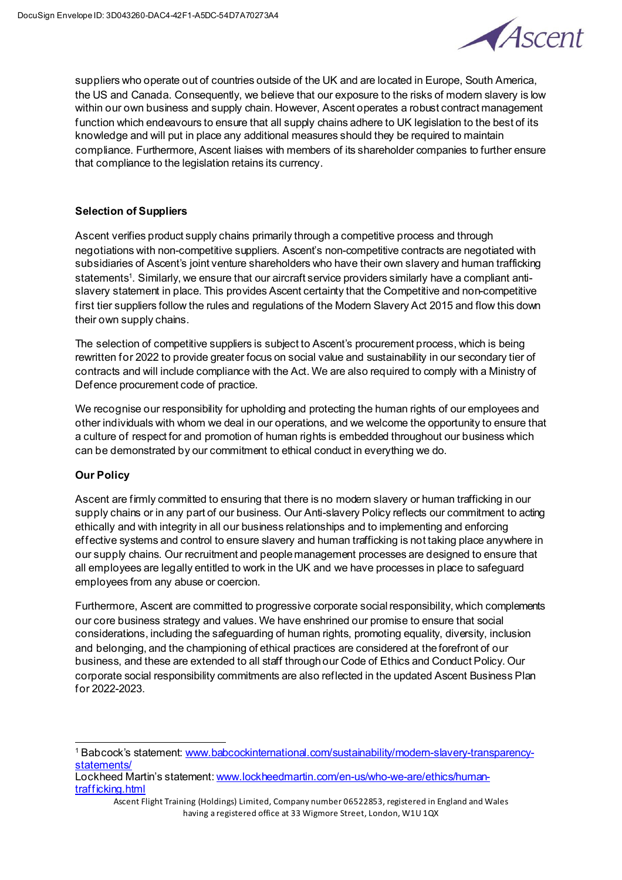

suppliers who operate out of countries outside of the UK and are located in Europe, South America, the US and Canada. Consequently, we believe that our exposure to the risks of modern slavery is low within our own business and supply chain. However, Ascent operates a robust contract management function which endeavours to ensure that all supply chains adhere to UK legislation to the best of its knowledge and will put in place any additional measures should they be required to maintain compliance. Furthermore, Ascent liaises with members of its shareholder companies to further ensure that compliance to the legislation retains its currency.

## **Selection of Suppliers**

Ascent verifies product supply chains primarily through a competitive process and through negotiations with non-competitive suppliers. Ascent's non-competitive contracts are negotiated with subsidiaries of Ascent's joint venture shareholders who have their own slavery and human trafficking statements1 . Similarly, we ensure that our aircraft service providers similarly have a compliant antislavery statement in place. This provides Ascent certainty that the Competitive and non-competitive first tier suppliers follow the rules and regulations of the Modern Slavery Act 2015 and flow this down their own supply chains.

The selection of competitive suppliers is subject to Ascent's procurement process, which is being rewritten for 2022 to provide greater focus on social value and sustainability in our secondary tier of contracts and will include compliance with the Act. We are also required to comply with a Ministry of Defence procurement code of practice.

We recognise our responsibility for upholding and protecting the human rights of our employees and other individuals with whom we deal in our operations, and we welcome the opportunity to ensure that a culture of respect for and promotion of human rights is embedded throughout our business which can be demonstrated by our commitment to ethical conduct in everything we do.

# **Our Policy**

Ascent are firmly committed to ensuring that there is no modern slavery or human trafficking in our supply chains or in any part of our business. Our Anti-slavery Policy reflects our commitment to acting ethically and with integrity in all our business relationships and to implementing and enforcing effective systems and control to ensure slavery and human trafficking is not taking place anywhere in our supply chains. Our recruitment and people management processes are designed to ensure that all employees are legally entitled to work in the UK and we have processes in place to safeguard employees from any abuse or coercion.

Furthermore, Ascent are committed to progressive corporate social responsibility, which complements our core business strategy and values. We have enshrined our promise to ensure that social considerations, including the safeguarding of human rights, promoting equality, diversity, inclusion and belonging, and the championing of ethical practices are considered at the forefront of our business, and these are extended to all staff through our Code of Ethics and Conduct Policy. Our corporate social responsibility commitments are also reflected in the updated Ascent Business Plan for 2022-2023.

<sup>1</sup> Babcock's statement[: www.babcockinternational.com/sustainability/modern-slavery-transparency](http://www.babcockinternational.com/sustainability/modern-slavery-transparency-statements/)[statements/](http://www.babcockinternational.com/sustainability/modern-slavery-transparency-statements/)

Lockheed Martin's statement[: www.lockheedmartin.com/en-us/who-we-are/ethics/human](http://www.lockheedmartin.com/en-us/who-we-are/ethics/human-trafficking.html)[trafficking.html](http://www.lockheedmartin.com/en-us/who-we-are/ethics/human-trafficking.html)

Ascent Flight Training (Holdings) Limited, Company number 06522853, registered in England and Wales having a registered office at 33 Wigmore Street, London, W1U 1QX